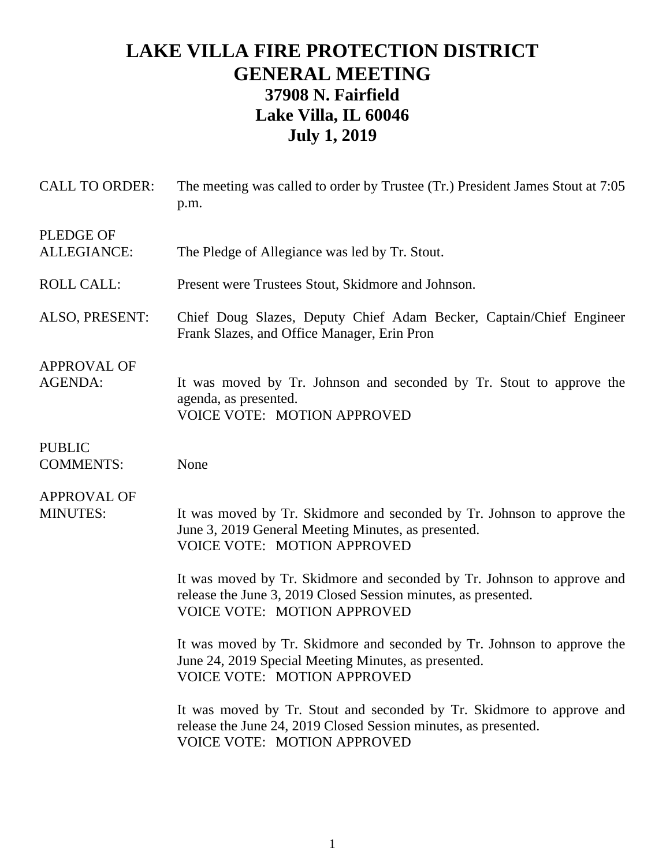## **LAKE VILLA FIRE PROTECTION DISTRICT GENERAL MEETING 37908 N. Fairfield Lake Villa, IL 60046 July 1, 2019**

| <b>CALL TO ORDER:</b>                 | The meeting was called to order by Trustee (Tr.) President James Stout at 7:05<br>p.m.                                                                                          |
|---------------------------------------|---------------------------------------------------------------------------------------------------------------------------------------------------------------------------------|
| <b>PLEDGE OF</b><br>ALLEGIANCE:       | The Pledge of Allegiance was led by Tr. Stout.                                                                                                                                  |
| <b>ROLL CALL:</b>                     | Present were Trustees Stout, Skidmore and Johnson.                                                                                                                              |
| ALSO, PRESENT:                        | Chief Doug Slazes, Deputy Chief Adam Becker, Captain/Chief Engineer<br>Frank Slazes, and Office Manager, Erin Pron                                                              |
| <b>APPROVAL OF</b><br><b>AGENDA:</b>  | It was moved by Tr. Johnson and seconded by Tr. Stout to approve the<br>agenda, as presented.<br><b>VOICE VOTE: MOTION APPROVED</b>                                             |
| <b>PUBLIC</b><br><b>COMMENTS:</b>     | None                                                                                                                                                                            |
| <b>APPROVAL OF</b><br><b>MINUTES:</b> | It was moved by Tr. Skidmore and seconded by Tr. Johnson to approve the<br>June 3, 2019 General Meeting Minutes, as presented.<br><b>VOICE VOTE: MOTION APPROVED</b>            |
|                                       | It was moved by Tr. Skidmore and seconded by Tr. Johnson to approve and<br>release the June 3, 2019 Closed Session minutes, as presented.<br><b>VOICE VOTE: MOTION APPROVED</b> |
|                                       | It was moved by Tr. Skidmore and seconded by Tr. Johnson to approve the<br>June 24, 2019 Special Meeting Minutes, as presented.<br><b>VOICE VOTE: MOTION APPROVED</b>           |
|                                       | It was moved by Tr. Stout and seconded by Tr. Skidmore to approve and<br>release the June 24, 2019 Closed Session minutes, as presented.<br><b>VOICE VOTE: MOTION APPROVED</b>  |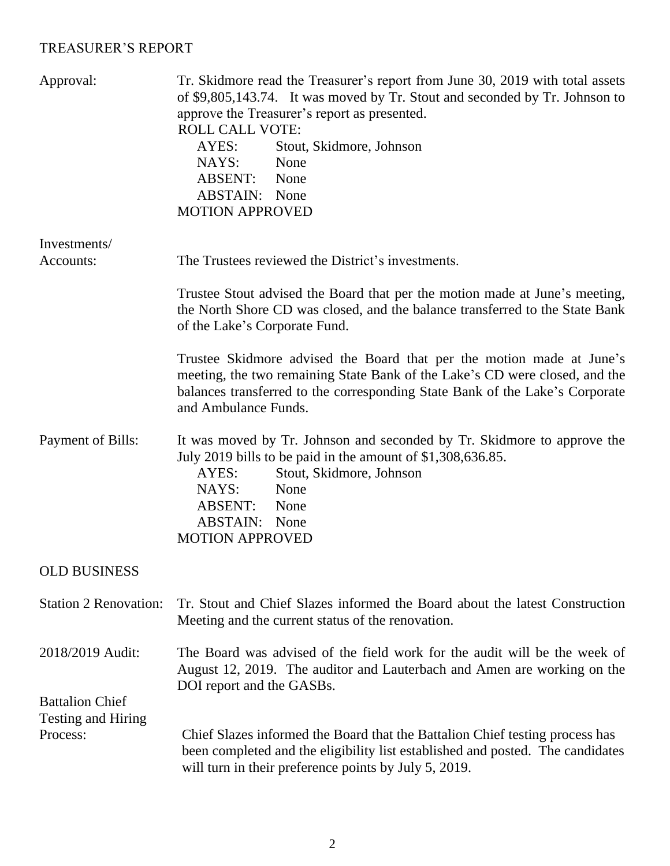## TREASURER'S REPORT

| Approval:                                                | Tr. Skidmore read the Treasurer's report from June 30, 2019 with total assets<br>of \$9,805,143.74. It was moved by Tr. Stout and seconded by Tr. Johnson to<br>approve the Treasurer's report as presented.<br><b>ROLL CALL VOTE:</b><br>AYES:<br>Stout, Skidmore, Johnson<br>NAYS:<br>None<br>ABSENT: None<br><b>ABSTAIN:</b> None<br><b>MOTION APPROVED</b> |
|----------------------------------------------------------|----------------------------------------------------------------------------------------------------------------------------------------------------------------------------------------------------------------------------------------------------------------------------------------------------------------------------------------------------------------|
| Investments/<br>Accounts:                                | The Trustees reviewed the District's investments.                                                                                                                                                                                                                                                                                                              |
|                                                          | Trustee Stout advised the Board that per the motion made at June's meeting,<br>the North Shore CD was closed, and the balance transferred to the State Bank<br>of the Lake's Corporate Fund.                                                                                                                                                                   |
|                                                          | Trustee Skidmore advised the Board that per the motion made at June's<br>meeting, the two remaining State Bank of the Lake's CD were closed, and the<br>balances transferred to the corresponding State Bank of the Lake's Corporate<br>and Ambulance Funds.                                                                                                   |
| Payment of Bills:                                        | It was moved by Tr. Johnson and seconded by Tr. Skidmore to approve the<br>July 2019 bills to be paid in the amount of \$1,308,636.85.<br>Stout, Skidmore, Johnson<br>AYES:<br>NAYS:<br>None<br>ABSENT: None<br><b>ABSTAIN:</b> None<br><b>MOTION APPROVED</b>                                                                                                 |
| <b>OLD BUSINESS</b>                                      |                                                                                                                                                                                                                                                                                                                                                                |
| <b>Station 2 Renovation:</b>                             | Tr. Stout and Chief Slazes informed the Board about the latest Construction<br>Meeting and the current status of the renovation.                                                                                                                                                                                                                               |
| 2018/2019 Audit:                                         | The Board was advised of the field work for the audit will be the week of<br>August 12, 2019. The auditor and Lauterbach and Amen are working on the                                                                                                                                                                                                           |
| <b>Battalion Chief</b><br>Testing and Hiring<br>Process: | DOI report and the GASBs.<br>Chief Slazes informed the Board that the Battalion Chief testing process has<br>been completed and the eligibility list established and posted. The candidates<br>will turn in their preference points by July 5, 2019.                                                                                                           |